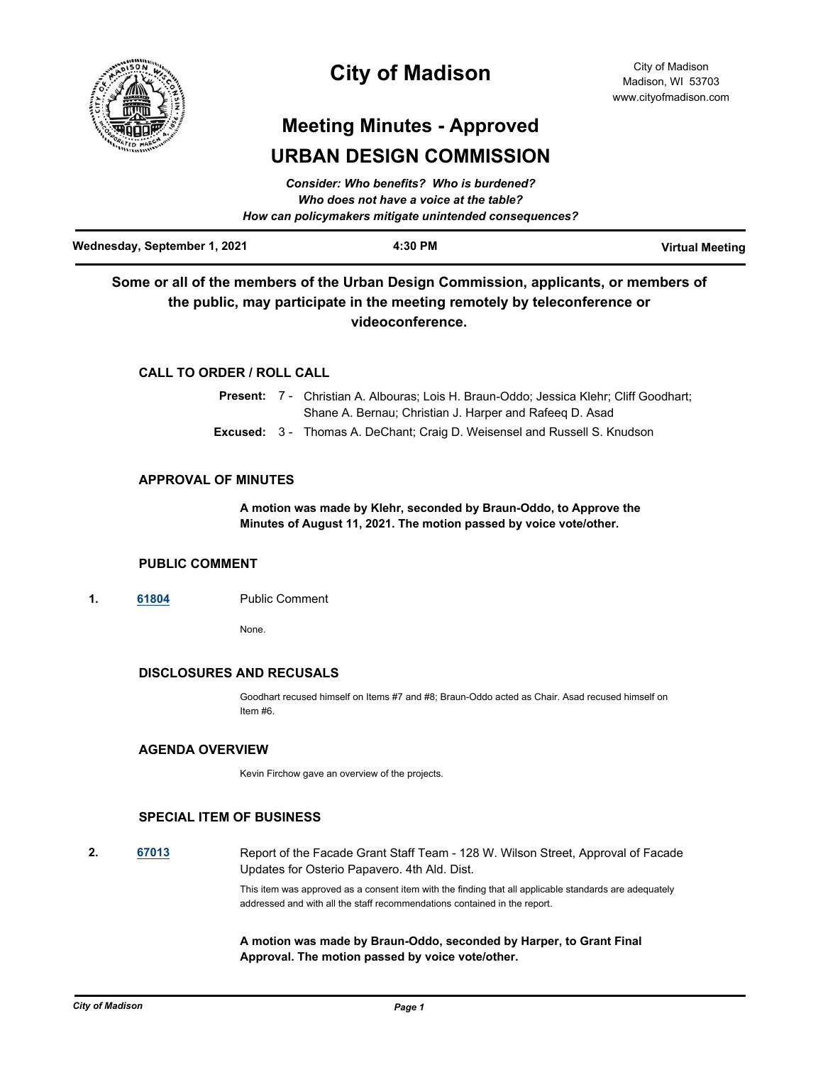

## **City of Madison**

# **Meeting Minutes - Approved URBAN DESIGN COMMISSION**

| Wednesday, September 1, 2021 | 4:30 PM                                                | <b>Virtual Meeting</b> |
|------------------------------|--------------------------------------------------------|------------------------|
|                              | How can policymakers mitigate unintended consequences? |                        |
|                              | Who does not have a voice at the table?                |                        |
|                              | Consider: Who benefits? Who is burdened?               |                        |

*Consider: Who benefits? Who is burdened?*

## **Some or all of the members of the Urban Design Commission, applicants, or members of the public, may participate in the meeting remotely by teleconference or videoconference.**

## **CALL TO ORDER / ROLL CALL**

|  | <b>Present:</b> 7 - Christian A. Albouras: Lois H. Braun-Oddo: Jessica Klehr: Cliff Goodhart: |  |
|--|-----------------------------------------------------------------------------------------------|--|
|  | Shane A. Bernau; Christian J. Harper and Rafeeg D. Asad                                       |  |
|  | <b>Excused:</b> 3 - Thomas A. DeChant; Craig D. Weisensel and Russell S. Knudson              |  |

## **APPROVAL OF MINUTES**

**A motion was made by Klehr, seconded by Braun-Oddo, to Approve the Minutes of August 11, 2021. The motion passed by voice vote/other.**

### **PUBLIC COMMENT**

**1. [61804](http://madison.legistar.com/gateway.aspx?m=l&id=/matter.aspx?key=72501)** Public Comment

None.

## **DISCLOSURES AND RECUSALS**

Goodhart recused himself on Items #7 and #8; Braun-Oddo acted as Chair. Asad recused himself on Item #6.

## **AGENDA OVERVIEW**

Kevin Firchow gave an overview of the projects.

## **SPECIAL ITEM OF BUSINESS**

**2. [67013](http://madison.legistar.com/gateway.aspx?m=l&id=/matter.aspx?key=79032)** Report of the Facade Grant Staff Team - 128 W. Wilson Street, Approval of Facade Updates for Osterio Papavero. 4th Ald. Dist.

This item was approved as a consent item with the finding that all applicable standards are adequately addressed and with all the staff recommendations contained in the report.

### **A motion was made by Braun-Oddo, seconded by Harper, to Grant Final Approval. The motion passed by voice vote/other.**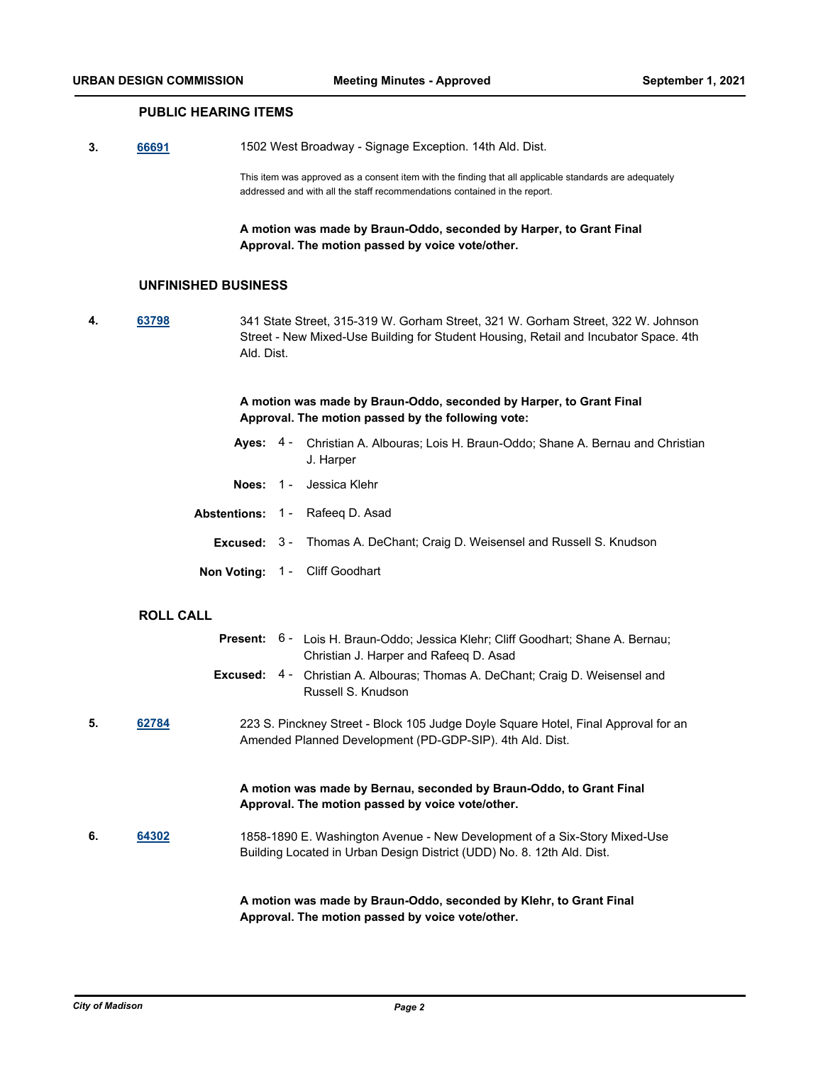## **PUBLIC HEARING ITEMS**

**3. [66691](http://madison.legistar.com/gateway.aspx?m=l&id=/matter.aspx?key=78767)** 1502 West Broadway - Signage Exception. 14th Ald. Dist.

This item was approved as a consent item with the finding that all applicable standards are adequately addressed and with all the staff recommendations contained in the report.

**A motion was made by Braun-Oddo, seconded by Harper, to Grant Final Approval. The motion passed by voice vote/other.**

#### **UNFINISHED BUSINESS**

**4. [63798](http://madison.legistar.com/gateway.aspx?m=l&id=/matter.aspx?key=74244)** 341 State Street, 315-319 W. Gorham Street, 321 W. Gorham Street, 322 W. Johnson Street - New Mixed-Use Building for Student Housing, Retail and Incubator Space. 4th Ald. Dist.

> **A motion was made by Braun-Oddo, seconded by Harper, to Grant Final Approval. The motion passed by the following vote:**

- Ayes: 4 Christian A. Albouras; Lois H. Braun-Oddo; Shane A. Bernau and Christian J. Harper **Noes:** 1 - Jessica Klehr
- **Abstentions:** 1 Rafeeq D. Asad **Excused:** 3 - Thomas A. DeChant; Craig D. Weisensel and Russell S. Knudson **Non Voting:** 1 - Cliff Goodhart

#### **ROLL CALL**

|    |       | Present: 6 - Lois H. Braun-Oddo; Jessica Klehr; Cliff Goodhart; Shane A. Bernau;<br>Christian J. Harper and Rafeeg D. Asad                          |  |  |
|----|-------|-----------------------------------------------------------------------------------------------------------------------------------------------------|--|--|
|    |       | <b>Excused:</b> 4 - Christian A. Albouras; Thomas A. DeChant; Craig D. Weisensel and<br>Russell S. Knudson                                          |  |  |
| 5. | 62784 | 223 S. Pinckney Street - Block 105 Judge Doyle Square Hotel, Final Approval for an<br>Amended Planned Development (PD-GDP-SIP). 4th Ald. Dist.      |  |  |
|    |       | A motion was made by Bernau, seconded by Braun-Oddo, to Grant Final<br>Approval. The motion passed by voice vote/other.                             |  |  |
| 6. | 64302 | 1858-1890 E. Washington Avenue - New Development of a Six-Story Mixed-Use<br>Building Located in Urban Design District (UDD) No. 8. 12th Ald. Dist. |  |  |
|    |       | A motion was made by Braun-Oddo, seconded by Klehr, to Grant Final<br>Approval. The motion passed by voice vote/other.                              |  |  |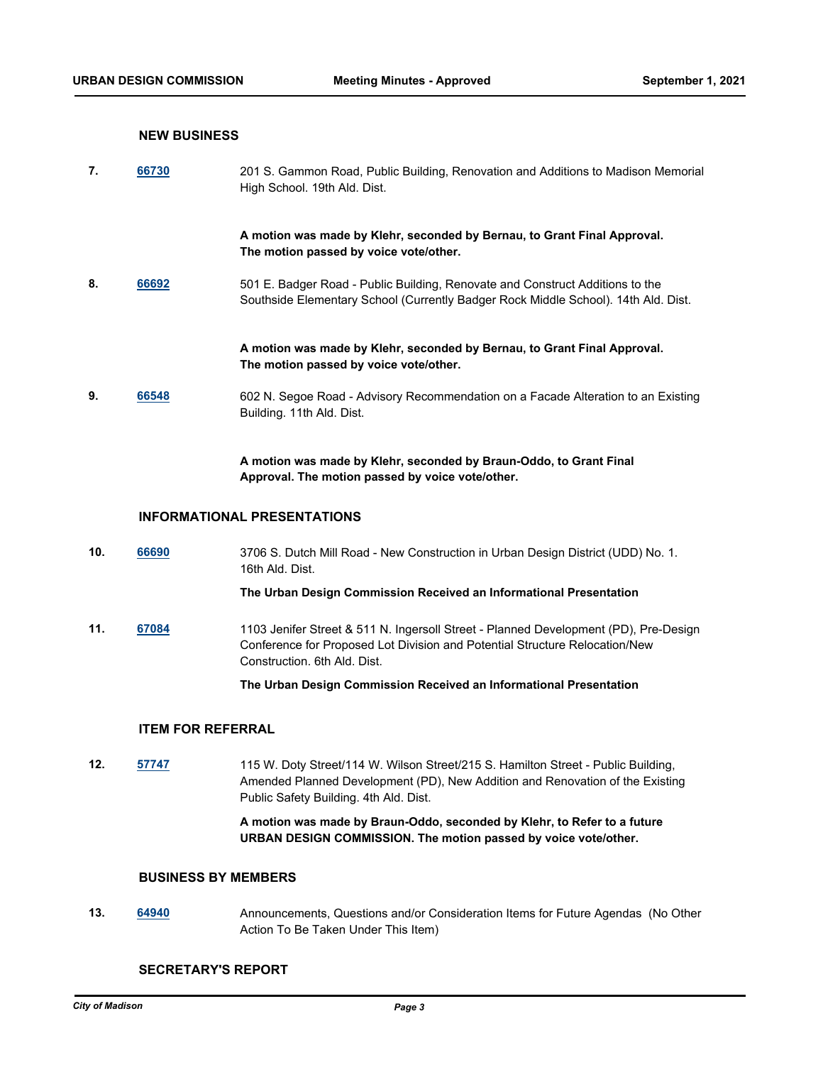#### **NEW BUSINESS**

**7. [66730](http://madison.legistar.com/gateway.aspx?m=l&id=/matter.aspx?key=78791)** 201 S. Gammon Road, Public Building, Renovation and Additions to Madison Memorial High School. 19th Ald. Dist.

> **A motion was made by Klehr, seconded by Bernau, to Grant Final Approval. The motion passed by voice vote/other.**

**8. [66692](http://madison.legistar.com/gateway.aspx?m=l&id=/matter.aspx?key=78768)** 501 E. Badger Road - Public Building, Renovate and Construct Additions to the Southside Elementary School (Currently Badger Rock Middle School). 14th Ald. Dist.

> **A motion was made by Klehr, seconded by Bernau, to Grant Final Approval. The motion passed by voice vote/other.**

**9. [66548](http://madison.legistar.com/gateway.aspx?m=l&id=/matter.aspx?key=78648)** 602 N. Segoe Road - Advisory Recommendation on a Facade Alteration to an Existing Building. 11th Ald. Dist.

> **A motion was made by Klehr, seconded by Braun-Oddo, to Grant Final Approval. The motion passed by voice vote/other.**

#### **INFORMATIONAL PRESENTATIONS**

**10. [66690](http://madison.legistar.com/gateway.aspx?m=l&id=/matter.aspx?key=78766)** 3706 S. Dutch Mill Road - New Construction in Urban Design District (UDD) No. 1. 16th Ald. Dist.

**The Urban Design Commission Received an Informational Presentation**

**11. [67084](http://madison.legistar.com/gateway.aspx?m=l&id=/matter.aspx?key=79083)** 1103 Jenifer Street & 511 N. Ingersoll Street - Planned Development (PD), Pre-Design Conference for Proposed Lot Division and Potential Structure Relocation/New Construction. 6th Ald. Dist.

**The Urban Design Commission Received an Informational Presentation**

### **ITEM FOR REFERRAL**

**12. [57747](http://madison.legistar.com/gateway.aspx?m=l&id=/matter.aspx?key=69032)** 115 W. Doty Street/114 W. Wilson Street/215 S. Hamilton Street - Public Building, Amended Planned Development (PD), New Addition and Renovation of the Existing Public Safety Building. 4th Ald. Dist.

> **A motion was made by Braun-Oddo, seconded by Klehr, to Refer to a future URBAN DESIGN COMMISSION. The motion passed by voice vote/other.**

#### **BUSINESS BY MEMBERS**

**13. [64940](http://madison.legistar.com/gateway.aspx?m=l&id=/matter.aspx?key=75203)** Announcements, Questions and/or Consideration Items for Future Agendas (No Other Action To Be Taken Under This Item)

#### **SECRETARY'S REPORT**